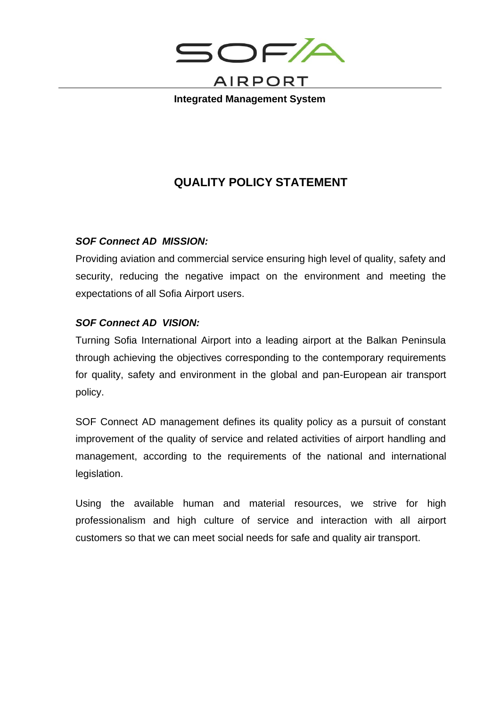

**Integrated Management System**

## **QUALITY POLICY STATEMENT**

## *SOF Connect AD MISSION:*

Providing aviation and commercial service ensuring high level of quality, safety and security, reducing the negative impact on the environment and meeting the expectations of all Sofia Airport users.

## *SOF Connect AD VISION:*

Turning Sofia International Airport into a leading airport at the Balkan Peninsula through achieving the objectives corresponding to the contemporary requirements for quality, safety and environment in the global and pan-European air transport policy.

SOF Connect AD management defines its quality policy as a pursuit of constant improvement of the quality of service and related activities of airport handling and management, according to the requirements of the national and international legislation.

Using the available human and material resources, we strive for high professionalism and high culture of service and interaction with all airport customers so that we can meet social needs for safe and quality air transport.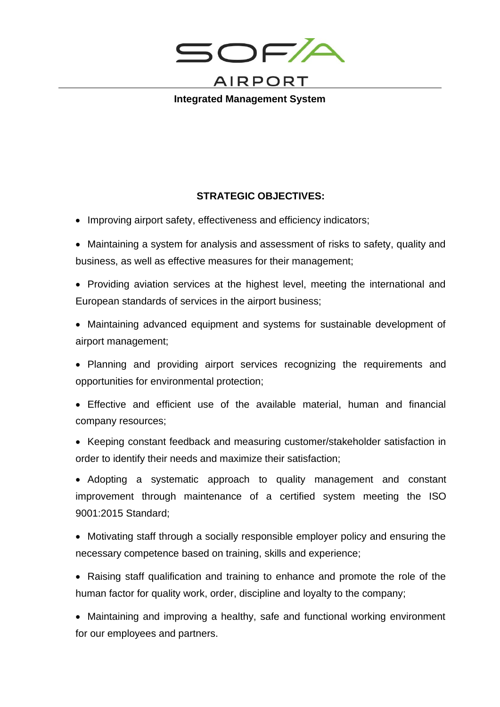

**Integrated Management System**

## **STRATEGIC OBJECTIVES:**

- Improving airport safety, effectiveness and efficiency indicators;
- Maintaining a system for analysis and assessment of risks to safety, quality and business, as well as effective measures for their management;
- Providing aviation services at the highest level, meeting the international and European standards of services in the airport business;
- Maintaining advanced equipment and systems for sustainable development of airport management;
- Planning and providing airport services recognizing the requirements and opportunities for environmental protection;
- Effective and efficient use of the available material, human and financial company resources;
- Keeping constant feedback and measuring customer/stakeholder satisfaction in order to identify their needs and maximize their satisfaction;
- Adopting a systematic approach to quality management and constant improvement through maintenance of a certified system meeting the ISO 9001:2015 Standard;
- Motivating staff through a socially responsible employer policy and ensuring the necessary competence based on training, skills and experience;
- Raising staff qualification and training to enhance and promote the role of the human factor for quality work, order, discipline and loyalty to the company;
- Maintaining and improving a healthy, safe and functional working environment for our employees and partners.